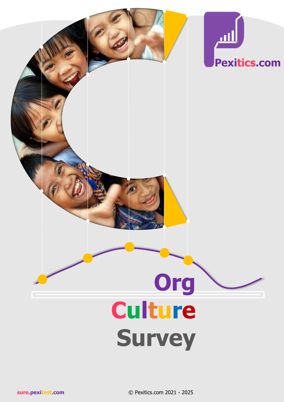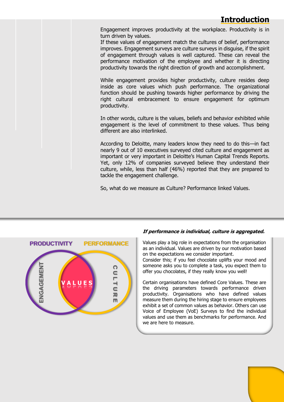### **Introduction**

Engagement improves productivity at the workplace. Productivity is in turn driven by values.

If these values of engagement match the cultures of belief, performance improves. Engagement surveys are culture surveys in disguise, if the spirit of engagement through values is well captured. These can reveal the performance motivation of the employee and whether it is directing productivity towards the right direction of growth and accomplishment.

While engagement provides higher productivity, culture resides deep inside as core values which push performance. The organizational function should be pushing towards higher performance by driving the right cultural embracement to ensure engagement for optimum productivity.

In other words, culture is the values, beliefs and behavior exhibited while engagement is the level of commitment to these values. Thus being different are also interlinked.

According to Deloitte, many leaders know they need to do this—in fact nearly 9 out of 10 executives surveyed cited culture and engagement as important or very important in Deloitte's Human Capital Trends Reports. Yet, only 12% of companies surveyed believe they understand their culture, while, less than half (46%) reported that they are prepared to tackle the engagement challenge.

So, what do we measure as Culture? Performance linked Values.



#### **If performance is individual, culture is aggregated.**

Values play a big role in expectations from the organisation as an individual. Values are driven by our motivation based on the expectations we consider important.

Consider this; if you feel chocolate uplifts your mood and someone asks you to complete a task, you expect them to offer you chocolates, if they really know you well!

Certain organisations have defined Core Values. These are the driving parameters towards performance driven productivity. Organisations who have defined values measure them during the hiring stage to ensure employees exhibit a set of common values as behavior. Others can use Voice of Employee (VoE) Surveys to find the individual values and use them as benchmarks for performance. And we are here to measure.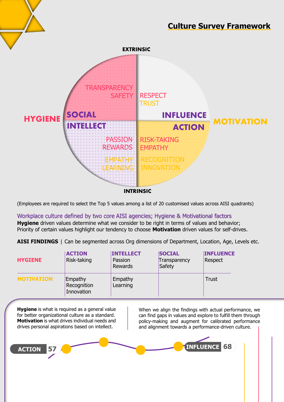

**INTRINSIC** 

(Employees are required to select the Top 5 values among a list of 20 customised values across AISI quadrants)

Workplace culture defined by two core AISI agencies; Hygiene & Motivational factors **Hygiene** driven values determine what we consider to be right in terms of values and behavior; Priority of certain values highlight our tendency to choose **Motivation** driven values for self-drives.

**AISI FINDINGS |** Can be segmented across Org dimensions of Department, Location, Age, Levels etc.

| <b>HYGIENE</b>    | <b>ACTION</b><br>Risk-taking         | <b>INTELLECT</b><br>Passion<br>Rewards | <b>SOCIAL</b><br>Transparency<br>Safety | <b>INFLUENCE</b><br>Respect |
|-------------------|--------------------------------------|----------------------------------------|-----------------------------------------|-----------------------------|
| <b>MOTIVATION</b> | Empathy<br>Recognition<br>Innovation | Empathy<br>Learning                    |                                         | <b>Trust</b>                |

**Hygiene** is what is required as a general value for better organizational culture as a standard. **Motivation** is what drives individual needs and drives personal aspirations based on intellect.

When we align the findings with actual performance, we can find gaps in values and explore to fulfill them through policy-making and augment for calibrated performance and alignment towards a performance-driven culture.

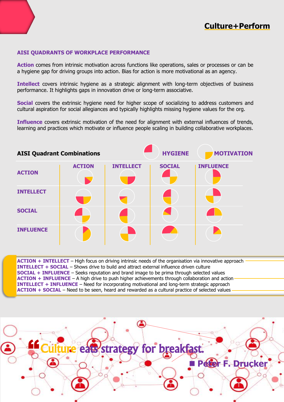### **Culture+Perform**

#### **AISI QUADRANTS OF WORKPLACE PERFORMANCE**

Action comes from intrinsic motivation across functions like operations, sales or processes or can be a hygiene gap for driving groups into action. Bias for action is more motivational as an agency.

**Intellect** covers intrinsic hygiene as a strategic alignment with long-term objectives of business performance. It highlights gaps in innovation drive or long-term associative.

**Social** covers the extrinsic hygiene need for higher scope of socializing to address customers and cultural aspiration for social allegiances and typically highlights missing hygiene values for the org.

**Influence** covers extrinsic motivation of the need for alignment with external influences of trends, learning and practices which motivate or influence people scaling in building collaborative workplaces.



**ACTION + INTELLECT** – High focus on driving intrinsic needs of the organisation via innovative approach **INTELLECT + SOCIAL** – Shows drive to build and attract external influence driven culture **SOCIAL + INFLUENCE** – Seeks reputation and brand image to be prima through selected values **ACTION + INFLUENCE** – A high drive to push higher achievements through collaboration and action **INTELLECT + INFLUENCE** – Need for incorporating motivational and long-term strategic approach **ACTION + SOCIAL** – Need to be seen, heard and rewarded as a cultural practice of selected values

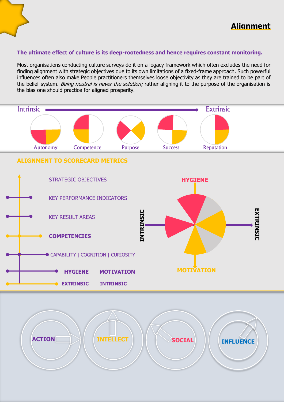

#### **The ultimate effect of culture is its deep-rootedness and hence requires constant monitoring.**

Most organisations conducting culture surveys do it on a legacy framework which often excludes the need for finding alignment with strategic objectives due to its own limitations of a fixed-frame approach. Such powerful influences often also make People practitioners themselves loose objectivity as they are trained to be part of the belief system. Being neutral is never the solution; rather aligning it to the purpose of the organisation is the bias one should practice for aligned prosperity.



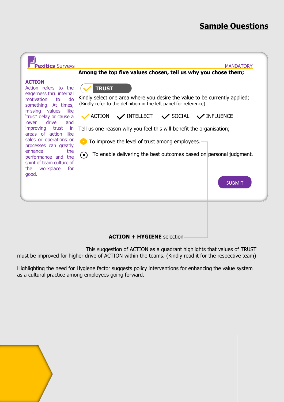## **Sample Questions**



#### **ACTION + HYGIENE** selection

This suggestion of ACTION as a quadrant highlights that values of TRUST must be improved for higher drive of ACTION within the teams. (Kindly read it for the respective team)

Highlighting the need for Hygiene factor suggests policy interventions for enhancing the value system as a cultural practice among employees going forward.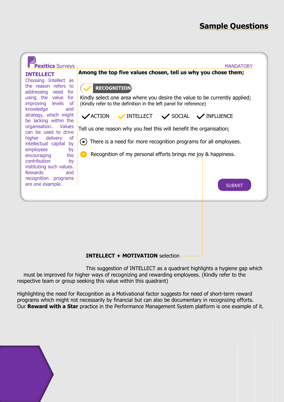## **Sample Questions**



This suggestion of INTELLECT as a quadrant highlights a hygiene gap which must be improved for higher ways of recognizing and rewarding employees. (Kindly refer to the respective team or group seeking this value within this quadrant)

Highlighting the need for Recognition as a Motivational factor suggests for need of short-term reward programs which might not necessarily by financial but can also be documentary in recognizing efforts. Our **Reward with a Star** practice in the Performance Management System platform is one example of it.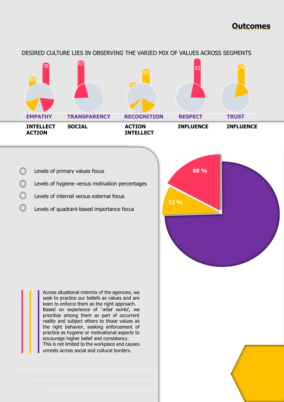### **Outcomes**

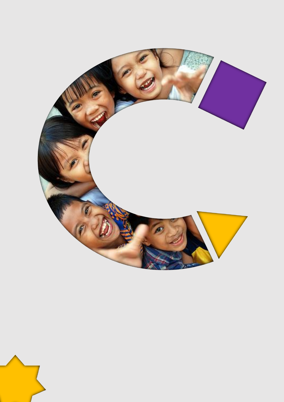